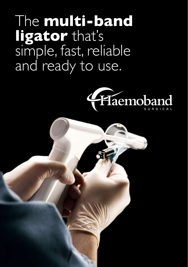The **multi-band ligator** that's simple, fast, reliable and ready to use.



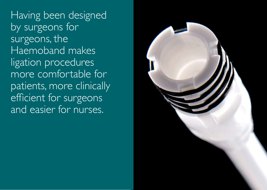Having been designed by surgeons for surgeons, the Haemoband makes ligation procedures more comfortable for patients, more clinically efficient for surgeons and easier for nurses.

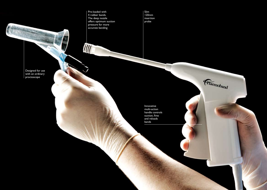Pre-loaded with 4 rubber bands. The deep nozzle offers optimum suction pressure for more accurate banding

Slim 120mm insertion probe

Designed for use with an ordinary proctoscope

国内

Innovative multi-action handle controls suction, fires and reloads bands

Haemoband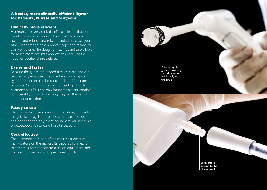# **A better, more clinically efficient ligator for Patients, Nurses and Surgeons**

### **Clinically more efficient**

Haemoband is very clinically efficient. Its multi-action handle means you only need one hand to control suction and release and reload bands. This leaves your other hand free to hold a proctoscope and means you can work alone. The design of Haemoband also allows for much more accurate applications, reducing the need for additional procedures.

#### **Easier and faster**

Because the gun is pre-loaded, already clean and can be used single-handed, the time taken for a typical ligation procedure can be reduced from 20 minutes to between 2 and 4 minutes for the banding of up to 3 haemorrhoids. This not only improves patient comfort considerably, but its disposability negates the risk of cross-contamination.

#### **Ready to use**

The Haemoband gun is ready to use straight from the airtight, clean bag. There are no spare parts to lose, find or fit and the only extra equipment you need is a proctoscope and standard hospital suction.

# **Cost effective**

The Haemoband is one of the most cost effective multi-ligators on the market. Its disposability means that there is no need for steralisation equipment and no need to invest in costly permanent tools.



Easily attach suction to the Haemoband